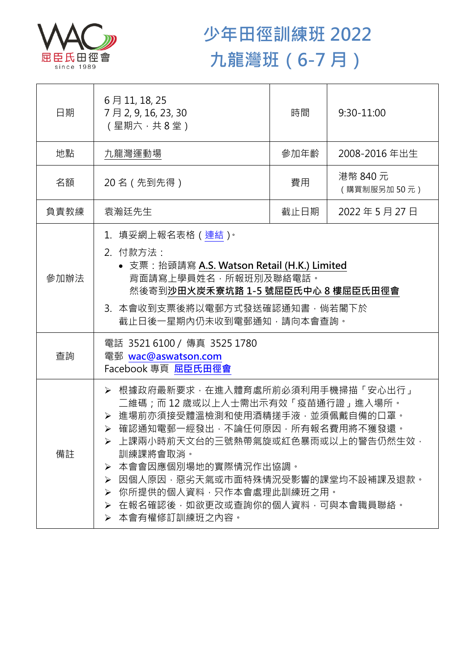

## **少年田徑訓練班 2022 九龍灣班(6-7 月)**

| 日期   | 6月11, 18, 25<br>7月2,9,16,23,30<br>(星期六,共8堂)                                                                                                                                                                                                                                                                                                            | 時間                            | $9:30 - 11:00$ |  |
|------|--------------------------------------------------------------------------------------------------------------------------------------------------------------------------------------------------------------------------------------------------------------------------------------------------------------------------------------------------------|-------------------------------|----------------|--|
| 地點   | 九龍灣運動場                                                                                                                                                                                                                                                                                                                                                 | 參加年齡                          | 2008-2016年出生   |  |
| 名額   | 20 名 (先到先得)                                                                                                                                                                                                                                                                                                                                            | 港幣 840 元<br>費用<br>(購買制服另加50元) |                |  |
| 負責教練 | 袁瀚廷先生                                                                                                                                                                                                                                                                                                                                                  | 截止日期                          | 2022年5月27日     |  |
| 參加辦法 | 1.填妥網上報名表格(連結) <sup>。</sup><br>2. 付款方法:<br>• 支票: 抬頭請寫 A.S. Watson Retail (H.K.) Limited<br>背面請寫上學員姓名, 所報班別及聯絡電話。<br>然後寄到沙田火炭禾寮坑路 1-5 號屈臣氏中心 8 樓屈臣氏田徑會<br>3. 本會收到支票後將以電郵方式發送確認通知書, 倘若閣下於<br>截止日後一星期內仍未收到電郵通知,請向本會查詢。                                                                                                                                    |                               |                |  |
| 查詢   | 電話 35216100 / 傳真 3525 1780<br>電郵 wac@aswatson.com<br>Facebook 專頁 屈臣氏田徑會                                                                                                                                                                                                                                                                                |                               |                |  |
| 備註   | ▶ 根據政府最新要求,在進入體育處所前必須利用手機掃描「安心出行」<br>二維碼;而 12 歲或以上人士需出示有效「疫苗通行證」進入場所。<br>> 進場前亦須接受體溫檢測和使用酒精搓手液·並須佩戴自備的口罩。<br>▶ 確認通知電郵一經發出,不論任何原因,所有報名費用將不獲發還。<br>上課兩小時前天文台的三號熱帶氣旋或紅色暴雨或以上的警告仍然生效,<br>訓練課將會取消。<br>本會會因應個別場地的實際情況作出協調。<br>≻<br>因個人原因,惡劣天氣或市面特殊情況受影響的課堂均不設補課及退款。<br>≻<br>> 你所提供的個人資料,只作本會處理此訓練班之用。<br>▶ 在報名確認後,如欲更改或查詢你的個人資料,可與本會職員聯絡。<br>▶ 本會有權修訂訓練班之內容。 |                               |                |  |